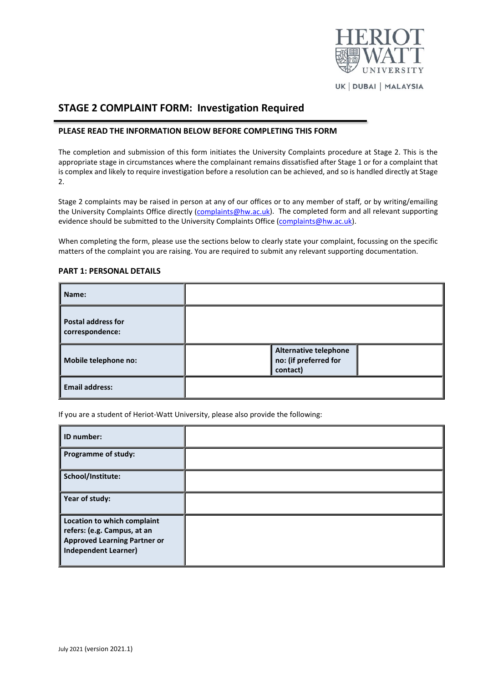

# **STAGE 2 COMPLAINT FORM: Investigation Required**

#### **PLEASE READ THE INFORMATION BELOW BEFORE COMPLETING THIS FORM**

The completion and submission of this form initiates the University Complaints procedure at Stage 2. This is the appropriate stage in circumstances where the complainant remains dissatisfied after Stage 1 or for a complaint that is complex and likely to require investigation before a resolution can be achieved, and so is handled directly at Stage 2.

Stage 2 complaints may be raised in person at any of our offices or to any member of staff*,* or by writing/emailing the University Complaints Office directly [\(complaints@hw.ac.uk\)](mailto:complaints@hw.ac.uk). The completed form and all relevant supporting evidence should be submitted to the University Complaints Office [\(complaints@hw.ac.uk\)](mailto:complaints@hw.ac.uk).

When completing the form, please use the sections below to clearly state your complaint, focussing on the specific matters of the complaint you are raising. You are required to submit any relevant supporting documentation.

#### **PART 1: PERSONAL DETAILS**

| Name:                                        |          |                                                       |
|----------------------------------------------|----------|-------------------------------------------------------|
| <b>Postal address for</b><br>correspondence: |          |                                                       |
| Mobile telephone no:                         | contact) | <b>Alternative telephone</b><br>no: (if preferred for |
| <b>Email address:</b>                        |          |                                                       |

If you are a student of Heriot-Watt University, please also provide the following:

| ID number:                                                                                                                       |  |
|----------------------------------------------------------------------------------------------------------------------------------|--|
| Programme of study:                                                                                                              |  |
| School/Institute:                                                                                                                |  |
| Year of study:                                                                                                                   |  |
| Location to which complaint<br>refers: (e.g. Campus, at an<br><b>Approved Learning Partner or</b><br><b>Independent Learner)</b> |  |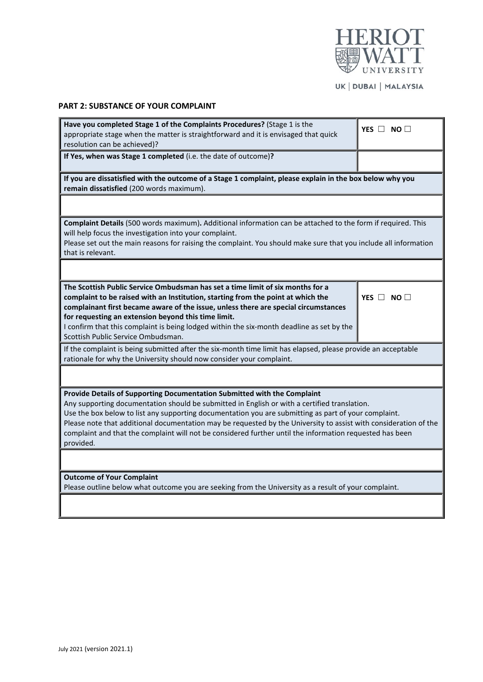

UK | DUBAI | MALAYSIA

## **PART 2: SUBSTANCE OF YOUR COMPLAINT**

| Have you completed Stage 1 of the Complaints Procedures? (Stage 1 is the                                                                                                                                                                                                                                                                                                                                                                                                                                                      | YES $\Box$ NO $\Box$ |  |  |
|-------------------------------------------------------------------------------------------------------------------------------------------------------------------------------------------------------------------------------------------------------------------------------------------------------------------------------------------------------------------------------------------------------------------------------------------------------------------------------------------------------------------------------|----------------------|--|--|
| appropriate stage when the matter is straightforward and it is envisaged that quick<br>resolution can be achieved)?                                                                                                                                                                                                                                                                                                                                                                                                           |                      |  |  |
| If Yes, when was Stage 1 completed (i.e. the date of outcome)?                                                                                                                                                                                                                                                                                                                                                                                                                                                                |                      |  |  |
| If you are dissatisfied with the outcome of a Stage 1 complaint, please explain in the box below why you<br>remain dissatisfied (200 words maximum).                                                                                                                                                                                                                                                                                                                                                                          |                      |  |  |
|                                                                                                                                                                                                                                                                                                                                                                                                                                                                                                                               |                      |  |  |
| Complaint Details (500 words maximum). Additional information can be attached to the form if required. This<br>will help focus the investigation into your complaint.<br>Please set out the main reasons for raising the complaint. You should make sure that you include all information<br>that is relevant.                                                                                                                                                                                                                |                      |  |  |
|                                                                                                                                                                                                                                                                                                                                                                                                                                                                                                                               |                      |  |  |
| The Scottish Public Service Ombudsman has set a time limit of six months for a<br>YES $\Box$ NO $\Box$<br>complaint to be raised with an Institution, starting from the point at which the<br>complainant first became aware of the issue, unless there are special circumstances<br>for requesting an extension beyond this time limit.<br>I confirm that this complaint is being lodged within the six-month deadline as set by the<br>Scottish Public Service Ombudsman.                                                   |                      |  |  |
| If the complaint is being submitted after the six-month time limit has elapsed, please provide an acceptable<br>rationale for why the University should now consider your complaint.                                                                                                                                                                                                                                                                                                                                          |                      |  |  |
|                                                                                                                                                                                                                                                                                                                                                                                                                                                                                                                               |                      |  |  |
| Provide Details of Supporting Documentation Submitted with the Complaint<br>Any supporting documentation should be submitted in English or with a certified translation.<br>Use the box below to list any supporting documentation you are submitting as part of your complaint.<br>Please note that additional documentation may be requested by the University to assist with consideration of the<br>complaint and that the complaint will not be considered further until the information requested has been<br>provided. |                      |  |  |
|                                                                                                                                                                                                                                                                                                                                                                                                                                                                                                                               |                      |  |  |
| <b>Outcome of Your Complaint</b><br>Please outline below what outcome you are seeking from the University as a result of your complaint.                                                                                                                                                                                                                                                                                                                                                                                      |                      |  |  |
|                                                                                                                                                                                                                                                                                                                                                                                                                                                                                                                               |                      |  |  |